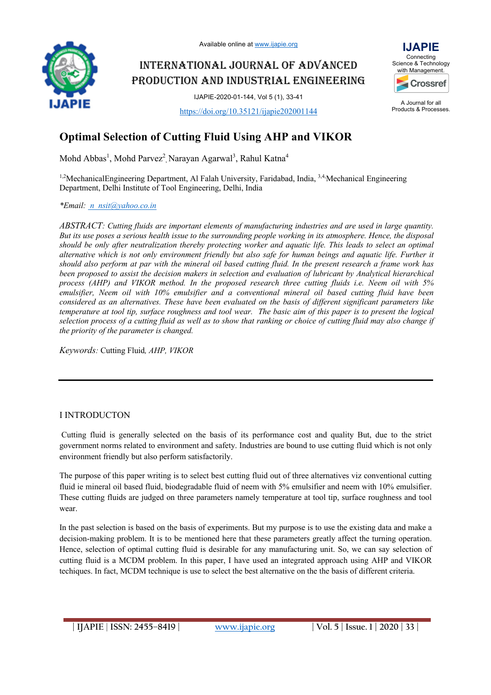

# INTERNATIONAL JOURNAL OF ADVANCED PRODUCTION AND INDUSTRIAL ENGINEERING

IJAPIE-2020-01-144, Vol 5 (1), 33-41

https://doi.org/10.35121/ijapie202001144



A Journal for all Products & Processes.

# **Optimal Selection of Cutting Fluid Using AHP and VIKOR**

 $\rm Mohd\,\,Abbas^1,\,Mohd\,\, Parvez^2,\, Narayan\,\, Agarwal^3,\,Rahul\,\,Katna^4$ 

<sup>1,2</sup>MechanicalEngineering Department, Al Falah University, Faridabad, India, <sup>3,4</sup>, Mechanical Engineering Department, Delhi Institute of Tool Engineering, Delhi, India

*\*Email: n\_nsit@yahoo.co.in*

*ABSTRACT: Cutting fluids are important elements of manufacturing industries and are used in large quantity. But its use poses a serious health issue to the surrounding people working in its atmosphere. Hence, the disposal should be only after neutralization thereby protecting worker and aquatic life. This leads to select an optimal alternative which is not only environment friendly but also safe for human beings and aquatic life. Further it should also perform at par with the mineral oil based cutting fluid. In the present research a frame work has been proposed to assist the decision makers in selection and evaluation of lubricant by Analytical hierarchical process (AHP) and VIKOR method. In the proposed research three cutting fluids i.e. Neem oil with 5% emulsifier, Neem oil with 10% emulsifier and a conventional mineral oil based cutting fluid have been considered as an alternatives. These have been evaluated on the basis of different significant parameters like temperature at tool tip, surface roughness and tool wear. The basic aim of this paper is to present the logical selection process of a cutting fluid as well as to show that ranking or choice of cutting fluid may also change if the priority of the parameter is changed.*

*Keywords:* Cutting Fluid*, AHP, VIKOR*

# I INTRODUCTON

Cutting fluid is generally selected on the basis of its performance cost and quality But, due to the strict government norms related to environment and safety. Industries are bound to use cutting fluid which is not only environment friendly but also perform satisfactorily.

The purpose of this paper writing is to select best cutting fluid out of three alternatives viz conventional cutting fluid ie mineral oil based fluid, biodegradable fluid of neem with 5% emulsifier and neem with 10% emulsifier. These cutting fluids are judged on three parameters namely temperature at tool tip, surface roughness and tool wear.

In the past selection is based on the basis of experiments. But my purpose is to use the existing data and make a decision-making problem. It is to be mentioned here that these parameters greatly affect the turning operation. Hence, selection of optimal cutting fluid is desirable for any manufacturing unit. So, we can say selection of cutting fluid is a MCDM problem. In this paper, I have used an integrated approach using AHP and VIKOR techiques. In fact, MCDM technique is use to select the best alternative on the the basis of different criteria.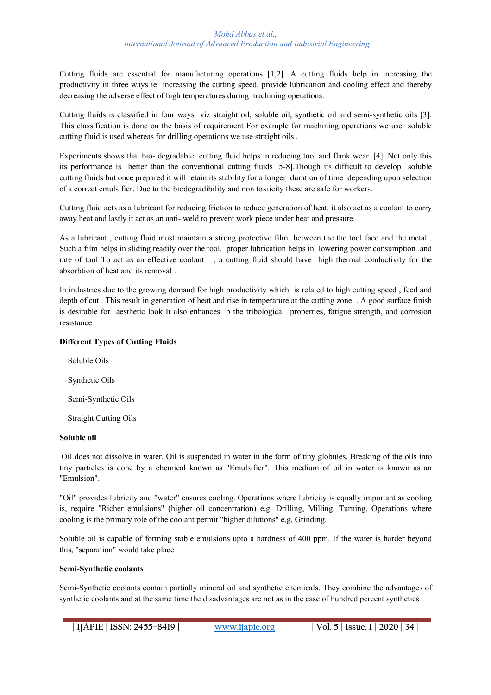Cutting fluids are essential for manufacturing operations [1,2]. A cutting fluids help in increasing the productivity in three ways ie increasing the cutting speed, provide lubrication and cooling effect and thereby decreasing the adverse effect of high temperatures during machining operations.

Cutting fluids is classified in four ways viz straight oil, soluble oil, synthetic oil and semi-synthetic oils [3]. This classification is done on the basis of requirement For example for machining operations we use soluble cutting fluid is used whereas for drilling operations we use straight oils .

Experiments shows that bio- degradable cutting fluid helps in reducing tool and flank wear. [4]. Not only this its performance is better than the conventional cutting fluids [5-8].Though its difficult to develop soluble cutting fluids but once prepared it will retain its stability for a longer duration of time depending upon selection of a correct emulsifier. Due to the biodegradibility and non toxiicity these are safe for workers.

Cutting fluid acts as a lubricant for reducing friction to reduce generation of heat. it also act as a coolant to carry away heat and lastly it act as an anti- weld to prevent work piece under heat and pressure.

As a lubricant , cutting fluid must maintain a strong protective film between the the tool face and the metal . Such a film helps in sliding readily over the tool. proper lubrication helps in lowering power consumption and rate of tool To act as an effective coolant , a cutting fluid should have high thermal conductivity for the absorbtion of heat and its removal .

In industries due to the growing demand for high productivity which is related to high cutting speed , feed and depth of cut . This result in generation of heat and rise in temperature at the cutting zone. . A good surface finish is desirable for aesthetic look It also enhances b the tribological properties, fatigue strength, and corrosion resistance

# **Different Types of Cutting Fluids**

 Soluble Oils Synthetic Oils Semi-Synthetic Oils Straight Cutting Oils

## **Soluble oil**

Oil does not dissolve in water. Oil is suspended in water in the form of tiny globules. Breaking of the oils into tiny particles is done by a chemical known as "Emulsifier". This medium of oil in water is known as an "Emulsion".

"Oil" provides lubricity and "water" ensures cooling. Operations where lubricity is equally important as cooling is, require "Richer emulsions" (higher oil concentration) e.g. Drilling, Milling, Turning. Operations where cooling is the primary role of the coolant permit "higher dilutions" e.g. Grinding.

Soluble oil is capable of forming stable emulsions upto a hardness of 400 ppm. If the water is harder beyond this, "separation" would take place

## **Semi-Synthetic coolants**

Semi-Synthetic coolants contain partially mineral oil and synthetic chemicals. They combine the advantages of synthetic coolants and at the same time the disadvantages are not as in the case of hundred percent synthetics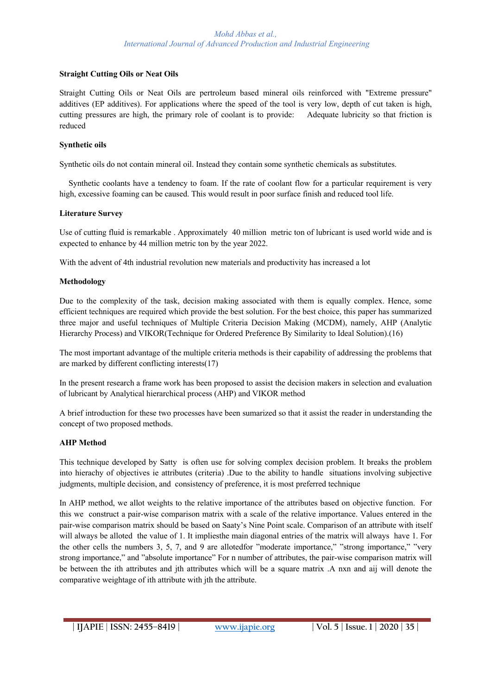# **Straight Cutting Oils or Neat Oils**

Straight Cutting Oils or Neat Oils are pertroleum based mineral oils reinforced with "Extreme pressure" additives (EP additives). For applications where the speed of the tool is very low, depth of cut taken is high, cutting pressures are high, the primary role of coolant is to provide: Adequate lubricity so that friction is reduced

## **Synthetic oils**

Synthetic oils do not contain mineral oil. Instead they contain some synthetic chemicals as substitutes.

 Synthetic coolants have a tendency to foam. If the rate of coolant flow for a particular requirement is very high, excessive foaming can be caused. This would result in poor surface finish and reduced tool life.

# **Literature Survey**

Use of cutting fluid is remarkable . Approximately 40 million metric ton of lubricant is used world wide and is expected to enhance by 44 million metric ton by the year 2022.

With the advent of 4th industrial revolution new materials and productivity has increased a lot

# **Methodology**

Due to the complexity of the task, decision making associated with them is equally complex. Hence, some efficient techniques are required which provide the best solution. For the best choice, this paper has summarized three major and useful techniques of Multiple Criteria Decision Making (MCDM), namely, AHP (Analytic Hierarchy Process) and VIKOR(Technique for Ordered Preference By Similarity to Ideal Solution).(16)

The most important advantage of the multiple criteria methods is their capability of addressing the problems that are marked by different conflicting interests(17)

In the present research a frame work has been proposed to assist the decision makers in selection and evaluation of lubricant by Analytical hierarchical process (AHP) and VIKOR method

A brief introduction for these two processes have been sumarized so that it assist the reader in understanding the concept of two proposed methods.

# **AHP Method**

This technique developed by Satty is often use for solving complex decision problem. It breaks the problem into hierachy of objectives ie attributes (criteria) .Due to the ability to handle situations involving subjective judgments, multiple decision, and consistency of preference, it is most preferred technique

In AHP method, we allot weights to the relative importance of the attributes based on objective function. For this we construct a pair-wise comparison matrix with a scale of the relative importance. Values entered in the pair-wise comparison matrix should be based on Saaty's Nine Point scale. Comparison of an attribute with itself will always be alloted the value of 1. It implies the main diagonal entries of the matrix will always have 1. For the other cells the numbers 3, 5, 7, and 9 are allotedfor "moderate importance," "strong importance," "very strong importance," and "absolute importance" For n number of attributes, the pair-wise comparison matrix will be between the ith attributes and jth attributes which will be a square matrix .A nxn and aij will denote the comparative weightage of ith attribute with jth the attribute.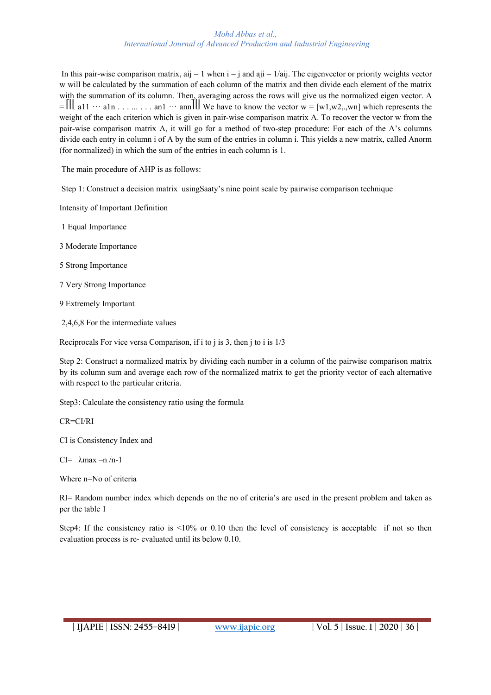In this pair-wise comparison matrix,  $aij = 1$  when  $i = j$  and  $aji = 1/aij$ . The eigenvector or priority weights vector w will be calculated by the summation of each column of the matrix and then divide each element of the matrix with the summation of its column. Then, averaging across the rows will give us the normalized eigen vector. A  $=$   $\| \cdot \|$  a11  $\cdots$  a1n  $\ldots$   $\ldots$  . . . . . . an1  $\cdots$  ann $\| \cdot \|$  We have to know the vector w = [w1,w2,.,wn] which represents the weight of the each criterion which is given in pair-wise comparison matrix A. To recover the vector w from the pair-wise comparison matrix A, it will go for a method of two-step procedure: For each of the A's columns divide each entry in column i of A by the sum of the entries in column i. This yields a new matrix, called Anorm (for normalized) in which the sum of the entries in each column is 1.

The main procedure of AHP is as follows:

Step 1: Construct a decision matrix usingSaaty's nine point scale by pairwise comparison technique

Intensity of Important Definition

1 Equal Importance

3 Moderate Importance

5 Strong Importance

7 Very Strong Importance

9 Extremely Important

2,4,6,8 For the intermediate values

Reciprocals For vice versa Comparison, if i to j is 3, then j to i is 1/3

Step 2: Construct a normalized matrix by dividing each number in a column of the pairwise comparison matrix by its column sum and average each row of the normalized matrix to get the priority vector of each alternative with respect to the particular criteria.

Step3: Calculate the consistency ratio using the formula

CR=CI/RI

CI is Consistency Index and

CI= λmax –n /n-1

Where n=No of criteria

RI= Random number index which depends on the no of criteria's are used in the present problem and taken as per the table 1

Step4: If the consistency ratio is <10% or 0.10 then the level of consistency is acceptable if not so then evaluation process is re- evaluated until its below 0.10.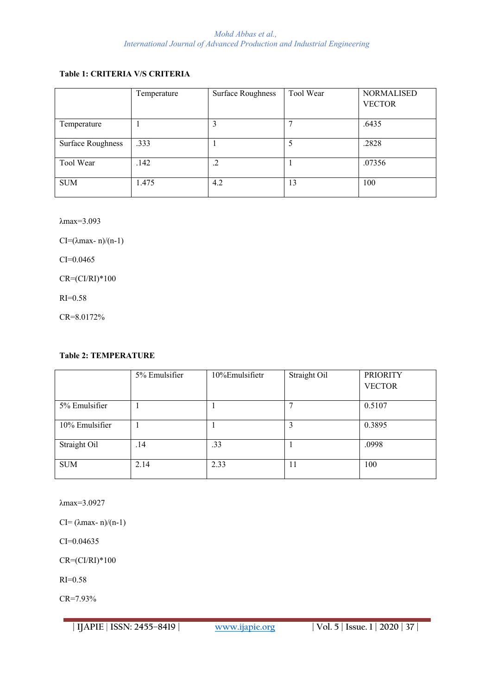# **Table 1: CRITERIA V/S CRITERIA**

|                          | Temperature | <b>Surface Roughness</b> | Tool Wear | <b>NORMALISED</b><br><b>VECTOR</b> |
|--------------------------|-------------|--------------------------|-----------|------------------------------------|
| Temperature              |             |                          |           | .6435                              |
| <b>Surface Roughness</b> | .333        |                          | 5         | .2828                              |
| Tool Wear                | .142        | .2                       |           | .07356                             |
| <b>SUM</b>               | 1.475       | 4.2                      | 13        | 100                                |

λmax=3.093

CI= $(\lambda$ max- n)/(n-1)

CI=0.0465

 $CR = (CI/RI)^*100$ 

RI=0.58

CR=8.0172%

## **Table 2: TEMPERATURE**

|                | 5% Emulsifier | 10%Emulsifietr | Straight Oil | <b>PRIORITY</b> |
|----------------|---------------|----------------|--------------|-----------------|
|                |               |                |              | <b>VECTOR</b>   |
| 5% Emulsifier  |               |                |              | 0.5107          |
| 10% Emulsifier |               |                | 3            | 0.3895          |
| Straight Oil   | .14           | .33            |              | .0998           |
| <b>SUM</b>     | 2.14          | 2.33           | 11           | 100             |

λmax=3.0927

CI=  $(\lambda$ max- n)/(n-1)

CI=0.04635

 $CR = (CI/RI)*100$ 

RI=0.58

CR=7.93%

**| IJAPIE** | **ISSN: 2455–8419 | www.ijapie.org | Vol. 5 | Issue. 1 | 2020 | 37 |**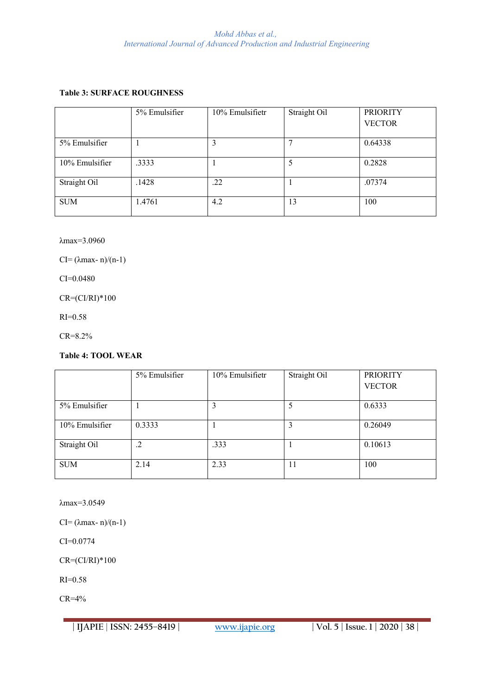# **Table 3: SURFACE ROUGHNESS**

|                | 5% Emulsifier | 10% Emulsifietr | Straight Oil | <b>PRIORITY</b> |
|----------------|---------------|-----------------|--------------|-----------------|
|                |               |                 |              | <b>VECTOR</b>   |
|                |               |                 |              |                 |
| 5% Emulsifier  |               | 3               |              | 0.64338         |
|                |               |                 |              |                 |
| 10% Emulsifier | .3333         |                 | 5            | 0.2828          |
| Straight Oil   | .1428         | .22             |              | .07374          |
|                |               |                 |              |                 |
| <b>SUM</b>     | 1.4761        | 4.2             | 13           | 100             |
|                |               |                 |              |                 |

λmax=3.0960

CI=  $(\lambda$ max- n)/(n-1)

CI=0.0480

 $CR = (CI/RI)^*100$ 

RI=0.58

CR=8.2%

# **Table 4: TOOL WEAR**

|                | 5% Emulsifier | 10% Emulsifietr | Straight Oil | <b>PRIORITY</b> |
|----------------|---------------|-----------------|--------------|-----------------|
|                |               |                 |              | <b>VECTOR</b>   |
| 5% Emulsifier  |               |                 |              | 0.6333          |
|                |               |                 |              |                 |
| 10% Emulsifier | 0.3333        |                 | 3            | 0.26049         |
|                |               |                 |              |                 |
| Straight Oil   | $\cdot$ .2    | .333            |              | 0.10613         |
| <b>SUM</b>     | 2.14          | 2.33            | 11           | 100             |

λmax=3.0549

CI=  $(\lambda$ max- n)/(n-1)

CI=0.0774

 $CR = (CI/RI)^*100$ 

RI=0.58

CR=4%

**| IJAPIE** | **ISSN: 2455–8419 | www.ijapie.org | Vol. 5 | Issue. 1 | 2020 | 38 |**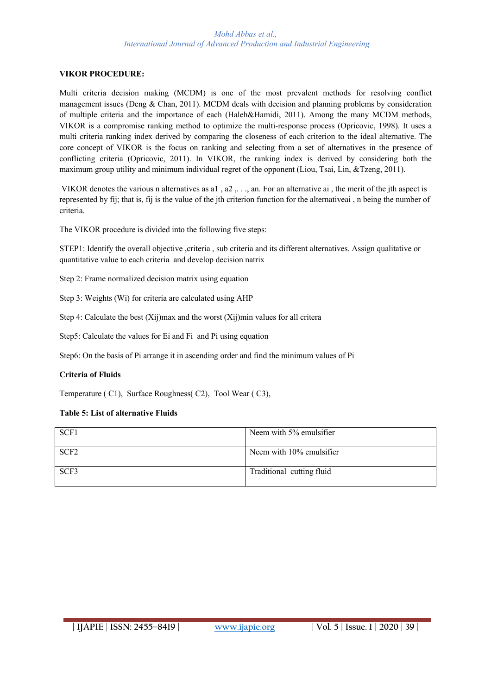# **VIKOR PROCEDURE:**

Multi criteria decision making (MCDM) is one of the most prevalent methods for resolving conflict management issues (Deng & Chan, 2011). MCDM deals with decision and planning problems by consideration of multiple criteria and the importance of each (Haleh&Hamidi, 2011). Among the many MCDM methods, VIKOR is a compromise ranking method to optimize the multi-response process (Opricovic, 1998). It uses a multi criteria ranking index derived by comparing the closeness of each criterion to the ideal alternative. The core concept of VIKOR is the focus on ranking and selecting from a set of alternatives in the presence of conflicting criteria (Opricovic, 2011). In VIKOR, the ranking index is derived by considering both the maximum group utility and minimum individual regret of the opponent (Liou, Tsai, Lin, &Tzeng, 2011).

VIKOR denotes the various n alternatives as a1 , a2 ,. . ., an. For an alternative ai , the merit of the jth aspect is represented by fij; that is, fij is the value of the jth criterion function for the alternativeai , n being the number of criteria.

The VIKOR procedure is divided into the following five steps:

STEP1: Identify the overall objective ,criteria , sub criteria and its different alternatives. Assign qualitative or quantitative value to each criteria and develop decision natrix

Step 2: Frame normalized decision matrix using equation

Step 3: Weights (Wi) for criteria are calculated using AHP

Step 4: Calculate the best (Xij)max and the worst (Xij)min values for all critera

Step5: Calculate the values for Ei and Fi and Pi using equation

Step6: On the basis of Pi arrange it in ascending order and find the minimum values of Pi

## **Criteria of Fluids**

Temperature ( C1), Surface Roughness( C2), Tool Wear ( C3),

## **Table 5: List of alternative Fluids**

| SCF1             | Neem with 5% emulsifier   |
|------------------|---------------------------|
| SCF <sub>2</sub> | Neem with 10% emulsifier  |
| SCF3             | Traditional cutting fluid |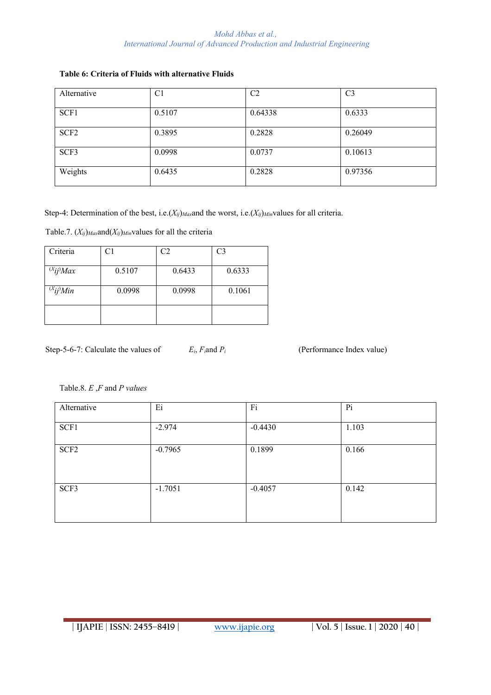| Alternative      | C <sub>1</sub> | C <sub>2</sub> | C <sub>3</sub> |
|------------------|----------------|----------------|----------------|
| SCF1             | 0.5107         | 0.64338        | 0.6333         |
| SCF <sub>2</sub> | 0.3895         | 0.2828         | 0.26049        |
| SCF3             | 0.0998         | 0.0737         | 0.10613        |
| Weights          | 0.6435         | 0.2828         | 0.97356        |

# **Table 6: Criteria of Fluids with alternative Fluids**

Step-4: Determination of the best, i.e.(*Xij*)*Max*and the worst, i.e.(*Xij*)*Min*values for all criteria.

Table.7. (*Xij*)*Max*and(*Xij*)*Min*values for all the criteria

| Criteria          | C <sub>1</sub> | C <sub>2</sub> | C <sub>3</sub> |
|-------------------|----------------|----------------|----------------|
| $^{(X}ij)$ Max    | 0.5107         | 0.6433         | 0.6333         |
| $^{(X}$ ij) $Min$ | 0.0998         | 0.0998         | 0.1061         |
|                   |                |                |                |

Step-5-6-7: Calculate the values of  $E_i$ ,  $F_i$  and  $P_i$  (Performance Index value)

Table.8. *E* ,*F* and *P values*

| Alternative      | E <sub>i</sub> | Fi        | P <sub>i</sub> |
|------------------|----------------|-----------|----------------|
| SCF1             | $-2.974$       | $-0.4430$ | 1.103          |
| SCF <sub>2</sub> | $-0.7965$      | 0.1899    | 0.166          |
| SCF3             | $-1.7051$      | $-0.4057$ | 0.142          |